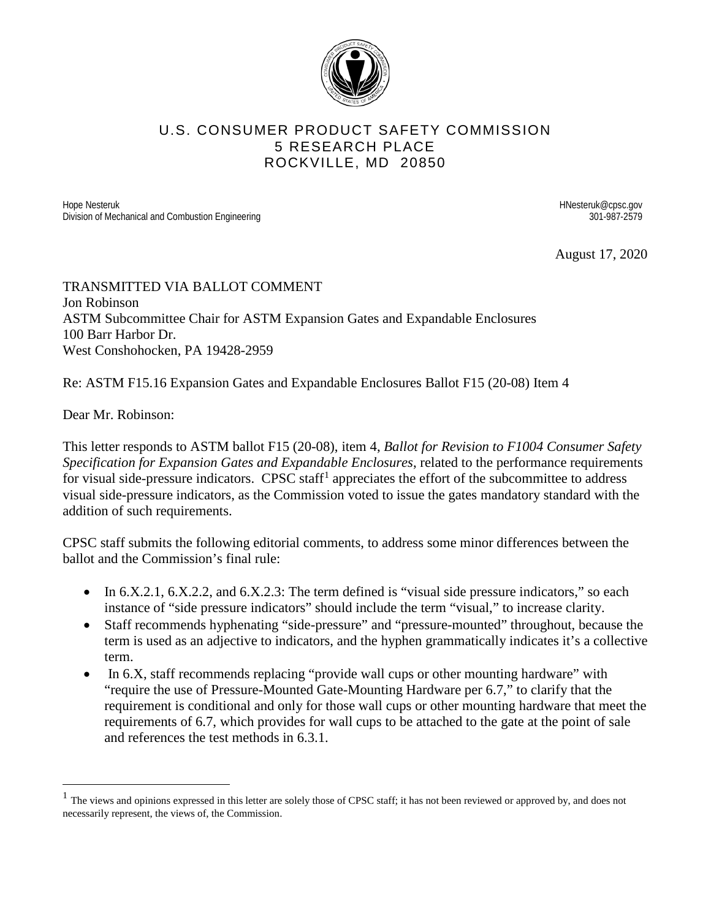

## U.S. CONSUMER PRODUCT SAFETY COMMISSION 5 RESEARCH PLACE ROCKVILLE, MD 20850

Hope Nesteruk Looper Nesteruk @cpsc.gov<br>
History of Mechanical and Combustion Engineering<br>
Division of Mechanical and Combustion Engineering Division of Mechanical and Combustion Engineering

August 17, 2020

## TRANSMITTED VIA BALLOT COMMENT Jon Robinson ASTM Subcommittee Chair for ASTM Expansion Gates and Expandable Enclosures 100 Barr Harbor Dr. West Conshohocken, PA 19428-2959

Re: ASTM F15.16 Expansion Gates and Expandable Enclosures Ballot F15 (20-08) Item 4

Dear Mr. Robinson:

This letter responds to ASTM ballot F15 (20-08), item 4, *Ballot for Revision to F1004 Consumer Safety Specification for Expansion Gates and Expandable Enclosures*, related to the performance requirements for visual side-pressure indicators. CPSC staff<sup>[1](#page-0-0)</sup> appreciates the effort of the subcommittee to address visual side-pressure indicators, as the Commission voted to issue the gates mandatory standard with the addition of such requirements.

CPSC staff submits the following editorial comments, to address some minor differences between the ballot and the Commission's final rule:

- In 6.X.2.1, 6.X.2.2, and 6.X.2.3: The term defined is "visual side pressure indicators," so each instance of "side pressure indicators" should include the term "visual," to increase clarity.
- Staff recommends hyphenating "side-pressure" and "pressure-mounted" throughout, because the term is used as an adjective to indicators, and the hyphen grammatically indicates it's a collective term.
- In 6.X, staff recommends replacing "provide wall cups or other mounting hardware" with "require the use of Pressure-Mounted Gate-Mounting Hardware per 6.7," to clarify that the requirement is conditional and only for those wall cups or other mounting hardware that meet the requirements of 6.7, which provides for wall cups to be attached to the gate at the point of sale and references the test methods in 6.3.1.

<span id="page-0-0"></span> $<sup>1</sup>$  The views and opinions expressed in this letter are solely those of CPSC staff; it has not been reviewed or approved by, and does not</sup> necessarily represent, the views of, the Commission.